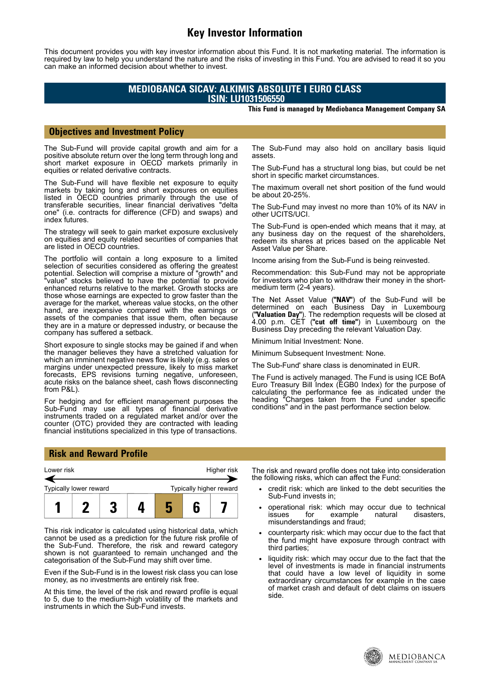# **Key Investor Information**

This document provides you with key investor information about this Fund. It is not marketing material. The information is required by law to help you understand the nature and the risks of investing in this Fund. You are advised to read it so you can make an informed decision about whether to invest.

## **MEDIOBANCA SICAV: ALKIMIS ABSOLUTE I EURO CLASS ISIN: LU1031506550**

#### **This Fund is managed by Mediobanca Management Company SA**

### **Objectives and Investment Policy**

The Sub-Fund will provide capital growth and aim for a positive absolute return over the long term through long and short market exposure in OECD markets primarily in equities or related derivative contracts.

The Sub-Fund will have flexible net exposure to equity markets by taking long and short exposures on equities listed in OECD countries primarily through the use of transferable securities, linear financial derivatives "delta one" (i.e. contracts for difference (CFD) and swaps) and index futures.

The strategy will seek to gain market exposure exclusively on equities and equity related securities of companies that are listed in OECD countries.

The portfolio will contain a long exposure to a limited selection of securities considered as offering the greatest potential. Selection will comprise a mixture of "growth" and "value" stocks believed to have the potential to provide enhanced returns relative to the market. Growth stocks are those whose earnings are expected to grow faster than the average for the market, whereas value stocks, on the other hand, are inexpensive compared with the earnings or assets of the companies that issue them, often because they are in a mature or depressed industry, or because the company has suffered a setback.

Short exposure to single stocks may be gained if and when the manager believes they have a stretched valuation for which an imminent negative news flow is likely (e.g. sales or margins under unexpected pressure, likely to miss market forecasts, EPS revisions turning negative, unforeseen, acute risks on the balance sheet, cash flows disconnecting from P&L).

For hedging and for efficient management purposes the Sub-Fund may use all types of financial derivative instruments traded on a regulated market and/or over the counter (OTC) provided they are contracted with leading financial institutions specialized in this type of transactions.

The Sub-Fund may also hold on ancillary basis liquid assets.

The Sub-Fund has a structural long bias, but could be net short in specific market circumstances.

The maximum overall net short position of the fund would be about 20-25%.

The Sub-Fund may invest no more than 10% of its NAV in other UCITS/UCI.

The Sub-Fund is open-ended which means that it may, at any business day on the request of the shareholders, redeem its shares at prices based on the applicable Net Asset Value per Share.

Income arising from the Sub-Fund is being reinvested.

Recommendation: this Sub-Fund may not be appropriate for investors who plan to withdraw their money in the shortmedium term (2-4 years).

The Net Asset Value (**"NAV"**) of the Sub-Fund will be determined on each Business Day in Luxembourg (**"Valuation Day"**). The redemption requests will be closed at 4.00 p.m. CET (**"cut off time"**) in Luxembourg on the Business Day preceding the relevant Valuation Day.

Minimum Initial Investment: None.

Minimum Subsequent Investment: None.

The Sub-Fund' share class is denominated in EUR.

The Fund is actively managed. The Fund is using ICE BofA Euro Treasury Bill Index (EGB0 Index) for the purpose of calculating the performance fee as indicated under the heading "Charges taken from the Fund under specific conditions" and in the past performance section below.

### **Risk and Reward Profile**



This risk indicator is calculated using historical data, which cannot be used as a prediction for the future risk profile of the Sub-Fund. Therefore, the risk and reward category shown is not guaranteed to remain unchanged and the categorisation of the Sub-Fund may shift over time.

Even if the Sub-Fund is in the lowest risk class you can lose money, as no investments are entirely risk free.

At this time, the level of the risk and reward profile is equal to 5, due to the medium-high volatility of the markets and instruments in which the Sub-Fund invests.

The risk and reward profile does not take into consideration the following risks, which can affect the Fund:

- credit risk: which are linked to the debt securities the Sub-Fund invests in;
- operational risk: which may occur due to technical<br>issues for example natural disasters. issues for example natural disasters, misunderstandings and fraud;
- counterparty risk: which may occur due to the fact that the fund might have exposure through contract with third parties;
- liquidity risk: which may occur due to the fact that the level of investments is made in financial instruments that could have a low level of liquidity in some extraordinary circumstances for example in the case of market crash and default of debt claims on issuers side.